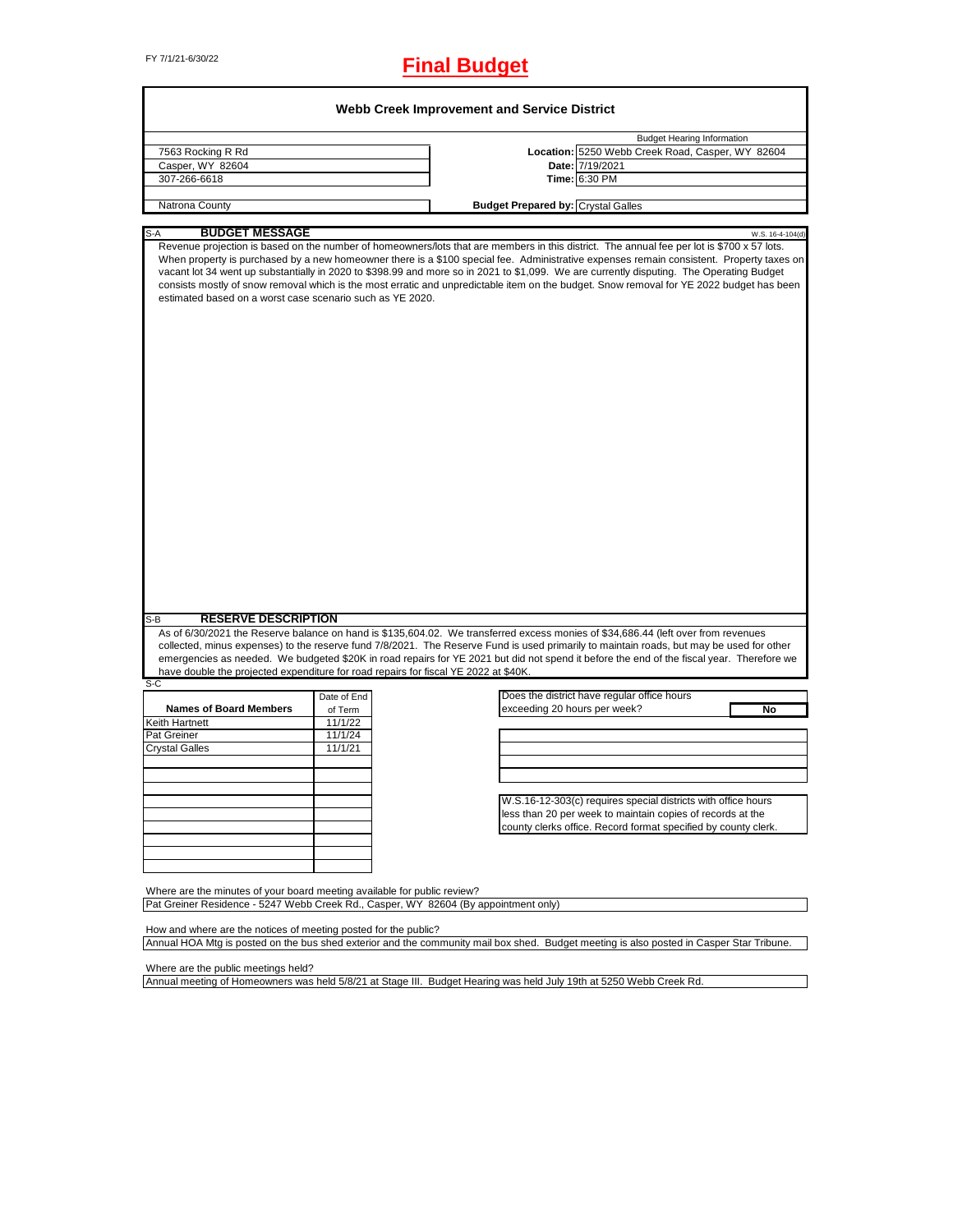# FY 7/1/21-6/30/22 **Final Budget**

| 7563 Rocking R Rd                                                                                                                                               |                    |                                                                                                                                                                                                                                                                                                                                                                                                                                                                                                                                                                                                    |
|-----------------------------------------------------------------------------------------------------------------------------------------------------------------|--------------------|----------------------------------------------------------------------------------------------------------------------------------------------------------------------------------------------------------------------------------------------------------------------------------------------------------------------------------------------------------------------------------------------------------------------------------------------------------------------------------------------------------------------------------------------------------------------------------------------------|
|                                                                                                                                                                 |                    | <b>Budget Hearing Information</b>                                                                                                                                                                                                                                                                                                                                                                                                                                                                                                                                                                  |
| Casper, WY 82604                                                                                                                                                |                    | Location: 5250 Webb Creek Road, Casper, WY 82604<br>Date: 7/19/2021                                                                                                                                                                                                                                                                                                                                                                                                                                                                                                                                |
| 307-266-6618                                                                                                                                                    |                    | Time: 6:30 PM                                                                                                                                                                                                                                                                                                                                                                                                                                                                                                                                                                                      |
|                                                                                                                                                                 |                    |                                                                                                                                                                                                                                                                                                                                                                                                                                                                                                                                                                                                    |
| Natrona County                                                                                                                                                  |                    | <b>Budget Prepared by: Crystal Galles</b>                                                                                                                                                                                                                                                                                                                                                                                                                                                                                                                                                          |
| <b>BUDGET MESSAGE</b>                                                                                                                                           |                    |                                                                                                                                                                                                                                                                                                                                                                                                                                                                                                                                                                                                    |
| S-A<br>estimated based on a worst case scenario such as YE 2020.                                                                                                |                    | W.S. 16-4-104(d)<br>Revenue projection is based on the number of homeowners/lots that are members in this district. The annual fee per lot is \$700 x 57 lots.<br>When property is purchased by a new homeowner there is a \$100 special fee. Administrative expenses remain consistent. Property taxes on<br>vacant lot 34 went up substantially in 2020 to \$398.99 and more so in 2021 to \$1,099. We are currently disputing. The Operating Budget<br>consists mostly of snow removal which is the most erratic and unpredictable item on the budget. Snow removal for YE 2022 budget has been |
|                                                                                                                                                                 |                    |                                                                                                                                                                                                                                                                                                                                                                                                                                                                                                                                                                                                    |
|                                                                                                                                                                 |                    |                                                                                                                                                                                                                                                                                                                                                                                                                                                                                                                                                                                                    |
|                                                                                                                                                                 |                    |                                                                                                                                                                                                                                                                                                                                                                                                                                                                                                                                                                                                    |
| <b>RESERVE DESCRIPTION</b>                                                                                                                                      |                    | As of 6/30/2021 the Reserve balance on hand is \$135,604.02. We transferred excess monies of \$34,686.44 (left over from revenues<br>collected, minus expenses) to the reserve fund 7/8/2021. The Reserve Fund is used primarily to maintain roads, but may be used for other<br>emergencies as needed. We budgeted \$20K in road repairs for YE 2021 but did not spend it before the end of the fiscal year. Therefore we                                                                                                                                                                         |
|                                                                                                                                                                 |                    |                                                                                                                                                                                                                                                                                                                                                                                                                                                                                                                                                                                                    |
|                                                                                                                                                                 | Date of End        | Does the district have regular office hours                                                                                                                                                                                                                                                                                                                                                                                                                                                                                                                                                        |
| <b>Names of Board Members</b>                                                                                                                                   | of Term            | exceeding 20 hours per week?<br>No                                                                                                                                                                                                                                                                                                                                                                                                                                                                                                                                                                 |
|                                                                                                                                                                 | 11/1/22            |                                                                                                                                                                                                                                                                                                                                                                                                                                                                                                                                                                                                    |
|                                                                                                                                                                 | 11/1/24<br>11/1/21 |                                                                                                                                                                                                                                                                                                                                                                                                                                                                                                                                                                                                    |
|                                                                                                                                                                 |                    |                                                                                                                                                                                                                                                                                                                                                                                                                                                                                                                                                                                                    |
|                                                                                                                                                                 |                    |                                                                                                                                                                                                                                                                                                                                                                                                                                                                                                                                                                                                    |
|                                                                                                                                                                 |                    |                                                                                                                                                                                                                                                                                                                                                                                                                                                                                                                                                                                                    |
|                                                                                                                                                                 |                    | W.S.16-12-303(c) requires special districts with office hours                                                                                                                                                                                                                                                                                                                                                                                                                                                                                                                                      |
| $S-B$<br>have double the projected expenditure for road repairs for fiscal YE 2022 at \$40K.<br>$S-C$<br>Keith Hartnett<br>Pat Greiner<br><b>Crystal Galles</b> |                    | less than 20 per week to maintain copies of records at the                                                                                                                                                                                                                                                                                                                                                                                                                                                                                                                                         |
|                                                                                                                                                                 |                    | county clerks office. Record format specified by county clerk.                                                                                                                                                                                                                                                                                                                                                                                                                                                                                                                                     |
|                                                                                                                                                                 |                    |                                                                                                                                                                                                                                                                                                                                                                                                                                                                                                                                                                                                    |
|                                                                                                                                                                 |                    |                                                                                                                                                                                                                                                                                                                                                                                                                                                                                                                                                                                                    |

How and where are the notices of meeting posted for the public? Annual HOA Mtg is posted on the bus shed exterior and the community mail box shed. Budget meeting is also posted in Casper Star Tribune.

Where are the public meetings held?

Annual meeting of Homeowners was held 5/8/21 at Stage III. Budget Hearing was held July 19th at 5250 Webb Creek Rd.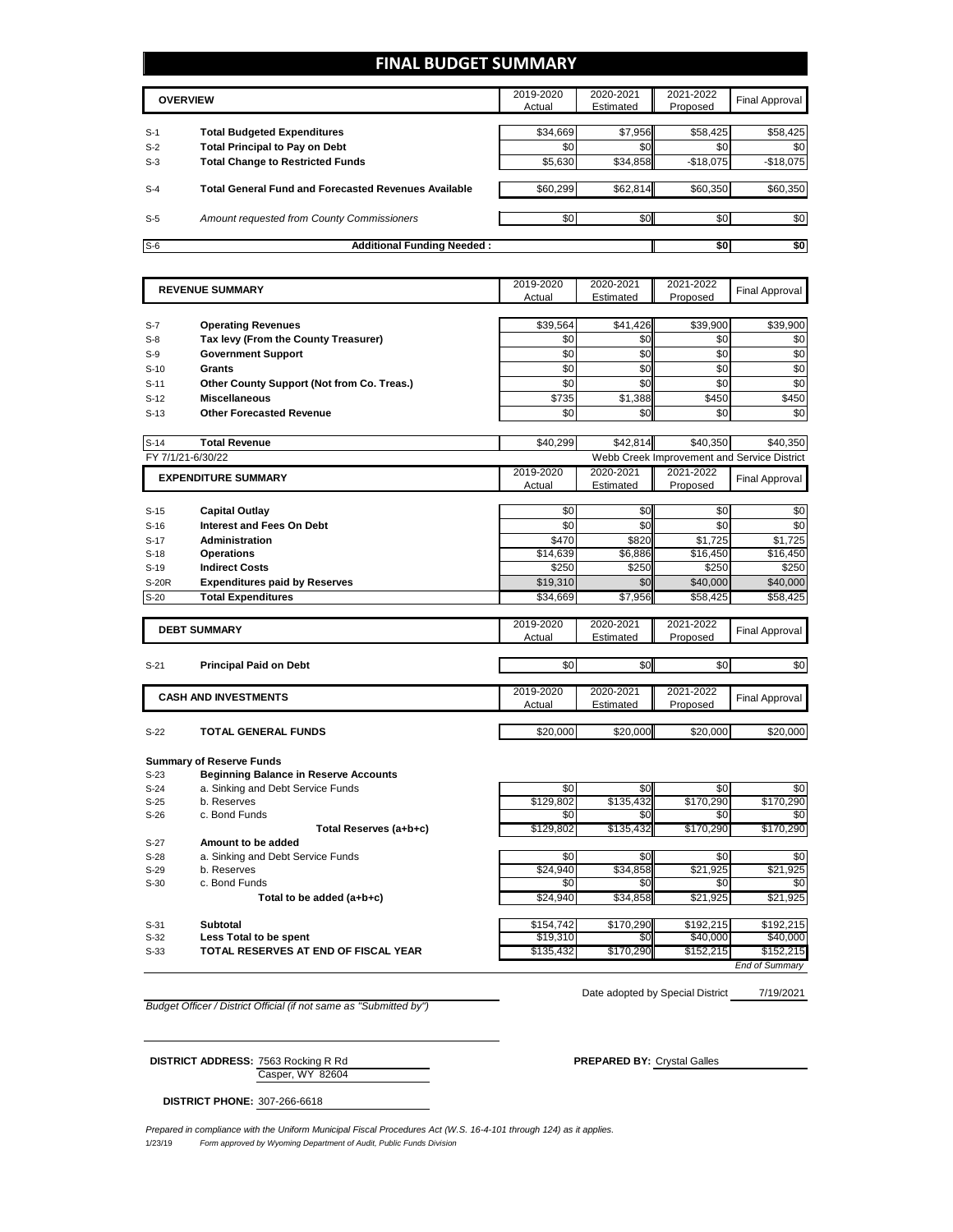### **FINAL BUDGET SUMMARY**

|       | <b>OVERVIEW</b>                                             | 2019-2020<br>Actual | 2020-2021<br>Estimated | 2021-2022<br>Proposed | Final Approval |
|-------|-------------------------------------------------------------|---------------------|------------------------|-----------------------|----------------|
| $S-1$ | <b>Total Budgeted Expenditures</b>                          | \$34,669            | \$7,956                | \$58,425              | \$58,425       |
| $S-2$ | <b>Total Principal to Pay on Debt</b>                       | \$0                 | \$0                    | \$0                   | \$0            |
| $S-3$ | <b>Total Change to Restricted Funds</b>                     | \$5,630             | \$34,858               | $-$18,075$            | $-$18,075$     |
| $S-4$ | <b>Total General Fund and Forecasted Revenues Available</b> | \$60,299            | \$62,814               | \$60,350              | \$60,350       |
| $S-5$ | Amount requested from County Commissioners                  | \$0                 | \$0                    | \$0 <sub>1</sub>      | \$0            |
| $S-6$ | <b>Additional Funding Needed:</b>                           |                     |                        | \$0                   | \$0            |

|                                 |                                            | 2019-2020       | 2020-2021 | 2021-2022 |                                             |
|---------------------------------|--------------------------------------------|-----------------|-----------|-----------|---------------------------------------------|
| <b>REVENUE SUMMARY</b>          |                                            | Actual          | Estimated | Proposed  | <b>Final Approval</b>                       |
|                                 |                                            |                 |           |           |                                             |
| $S-7$                           | <b>Operating Revenues</b>                  | \$39,564        | \$41,426  | \$39,900  | \$39,900                                    |
| $S-8$                           | Tax levy (From the County Treasurer)       | \$0             | \$0       | \$0       | \$0                                         |
| $S-9$                           | <b>Government Support</b>                  | \$0             | \$0       | \$0       | \$0                                         |
| Grants<br>$S-10$                |                                            | \$0             | \$0       | \$0       | \$0                                         |
| $S-11$                          | Other County Support (Not from Co. Treas.) | \$0             | \$0       | \$0       | \$0                                         |
| <b>Miscellaneous</b><br>$S-12$  |                                            | \$735           | \$1,388   | \$450     | \$450                                       |
| $S-13$                          | <b>Other Forecasted Revenue</b>            | \$0             | \$0       | \$0       | \$0                                         |
| $S-14$<br><b>Total Revenue</b>  |                                            | \$40,299        | \$42,814  | \$40.350  | \$40,350                                    |
| FY 7/1/21-6/30/22               |                                            |                 |           |           | Webb Creek Improvement and Service District |
| <b>EXPENDITURE SUMMARY</b>      |                                            | 2019-2020       | 2020-2021 | 2021-2022 |                                             |
|                                 |                                            | Actual          | Estimated | Proposed  | <b>Final Approval</b>                       |
|                                 |                                            |                 |           |           |                                             |
| <b>Capital Outlay</b><br>$S-15$ |                                            | \$0             | \$0       | \$0       | \$0                                         |
| $S-16$                          | <b>Interest and Fees On Debt</b>           | $\overline{30}$ | \$0       | \$0       | \$0                                         |
| $S-17$                          | <b>Administration</b>                      | \$470           | \$820     | \$1,725   | \$1,725                                     |
| <b>Operations</b><br>$S-18$     |                                            | \$14,639        | \$6,886   | \$16,450  | \$16,450                                    |
| <b>Indirect Costs</b><br>$S-19$ |                                            | \$250           | \$250     | \$250     | \$250                                       |
| S-20R                           | <b>Expenditures paid by Reserves</b>       | \$19,310        | \$0       | \$40,000  | \$40,000                                    |
| $S-20$                          | <b>Total Expenditures</b>                  | \$34,669        | \$7,956   | \$58,425  | \$58,425                                    |
|                                 |                                            |                 |           |           |                                             |
| <b>DEBT SUMMARY</b>             |                                            | 2019-2020       | 2020-2021 | 2021-2022 | <b>Final Approval</b>                       |
|                                 |                                            | Actual          | Estimated | Proposed  |                                             |
| $S-21$                          | <b>Principal Paid on Debt</b>              | \$0             | \$0       | \$0       | \$0                                         |
|                                 |                                            |                 |           |           |                                             |
| <b>CASH AND INVESTMENTS</b>     |                                            | 2019-2020       | 2020-2021 | 2021-2022 | <b>Final Approval</b>                       |
|                                 |                                            | Actual          | Estimated | Proposed  |                                             |
| $S-22$                          | <b>TOTAL GENERAL FUNDS</b>                 | \$20,000        | \$20,000  | \$20,000  | \$20,000                                    |
|                                 |                                            |                 |           |           |                                             |
| <b>Summary of Reserve Funds</b> |                                            |                 |           |           |                                             |

| $S-23$ | <b>Beginning Balance in Reserve Accounts</b> |           |           |           |           |
|--------|----------------------------------------------|-----------|-----------|-----------|-----------|
| $S-24$ | a. Sinking and Debt Service Funds            | \$0       | \$0       | \$0       | \$0       |
| $S-25$ | b. Reserves                                  | \$129,802 | \$135,432 | \$170,290 | \$170,290 |
| $S-26$ | c. Bond Funds                                | \$0       | \$0       | \$0       | \$0       |
|        | Total Reserves (a+b+c)                       | \$129,802 | \$135.432 | \$170,290 | \$170,290 |
| $S-27$ | Amount to be added                           |           |           |           |           |
| $S-28$ | a. Sinking and Debt Service Funds            | \$0       | \$0       | \$0       | \$0       |
| $S-29$ | b. Reserves                                  | \$24,940  | \$34,858  | \$21,925  | \$21,925  |
| $S-30$ | c. Bond Funds                                | \$0       | \$0       | \$0       | \$0       |
|        | Total to be added (a+b+c)                    | \$24,940  | \$34,858  | \$21,925  | \$21,925  |
| $S-31$ | Subtotal                                     | \$154.742 | \$170.290 | \$192.215 | \$192,215 |
| $S-32$ | Less Total to be spent                       | \$19,310  | \$0       | \$40,000  | \$40,000  |
| $S-33$ | TOTAL RESERVES AT END OF FISCAL YEAR         | \$135,432 | \$170.290 | \$152,215 | \$152,215 |

*End of Summary*

*Budget Officer / District Official (if not same as "Submitted by")*

7/19/2021 Date adopted by Special District

Casper, WY 82604 **DISTRICT ADDRESS:** 7563 Rocking R Rd **PREPARED BY:** Crystal Galles

**DISTRICT PHONE:** 307-266-6618

1/23/19 *Form approved by Wyoming Department of Audit, Public Funds Division Prepared in compliance with the Uniform Municipal Fiscal Procedures Act (W.S. 16-4-101 through 124) as it applies.*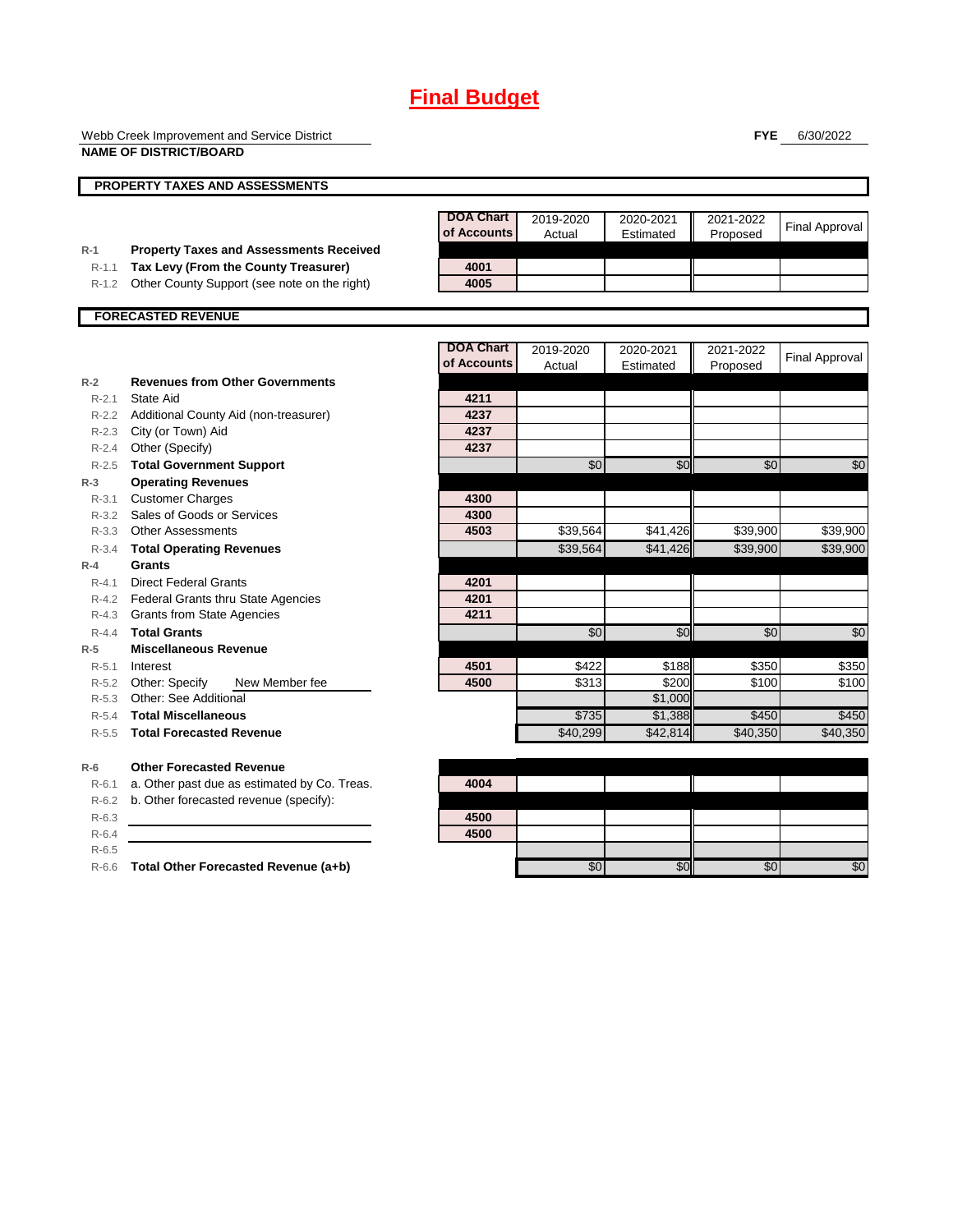Webb Creek Improvement and Service District **NAME OF DISTRICT/BOARD**

**FYE** 6/30/2022

|           | <b>NAME OF DISTRICT/BOARD</b>                  |                                 |                     |                        |                       |                       |
|-----------|------------------------------------------------|---------------------------------|---------------------|------------------------|-----------------------|-----------------------|
|           | <b>PROPERTY TAXES AND ASSESSMENTS</b>          |                                 |                     |                        |                       |                       |
|           |                                                | <b>DOA Chart</b><br>of Accounts | 2019-2020<br>Actual | 2020-2021<br>Estimated | 2021-2022<br>Proposed | <b>Final Approval</b> |
| $R-1$     | <b>Property Taxes and Assessments Received</b> |                                 |                     |                        |                       |                       |
| $R-1.1$   | Tax Levy (From the County Treasurer)           | 4001                            |                     |                        |                       |                       |
| $R-1.2$   | Other County Support (see note on the right)   | 4005                            |                     |                        |                       |                       |
|           | <b>FORECASTED REVENUE</b>                      |                                 |                     |                        |                       |                       |
|           |                                                | <b>DOA Chart</b>                | 2019-2020           | 2020-2021              | 2021-2022             |                       |
|           |                                                | of Accounts                     | Actual              | Estimated              | Proposed              | <b>Final Approval</b> |
| $R-2$     | <b>Revenues from Other Governments</b>         |                                 |                     |                        |                       |                       |
| $R - 2.1$ | State Aid                                      | 4211                            |                     |                        |                       |                       |
|           | R-2.2 Additional County Aid (non-treasurer)    | 4237                            |                     |                        |                       |                       |
| $R-2.3$   | City (or Town) Aid                             | 4237                            |                     |                        |                       |                       |
| $R - 2.4$ | Other (Specify)                                | 4237                            |                     |                        |                       |                       |
| $R-2.5$   | <b>Total Government Support</b>                |                                 | \$0                 | \$0                    | \$0                   | \$0                   |
| $R-3$     | <b>Operating Revenues</b>                      |                                 |                     |                        |                       |                       |
| $R - 3.1$ | <b>Customer Charges</b>                        | 4300                            |                     |                        |                       |                       |
| $R - 3.2$ | Sales of Goods or Services                     | 4300                            |                     |                        |                       |                       |
| $R - 3.3$ | <b>Other Assessments</b>                       | 4503                            | \$39,564            | \$41,426               | \$39,900              | \$39,900              |
| $R - 3.4$ | <b>Total Operating Revenues</b>                |                                 | \$39,564            | \$41,426               | \$39,900              | \$39.900              |
| $R-4$     | Grants                                         |                                 |                     |                        |                       |                       |
| $R - 4.1$ | <b>Direct Federal Grants</b>                   | 4201                            |                     |                        |                       |                       |
|           | R-4.2 Federal Grants thru State Agencies       | 4201                            |                     |                        |                       |                       |
| $R - 4.3$ | <b>Grants from State Agencies</b>              | 4211                            |                     |                        |                       |                       |
| $R - 4.4$ | <b>Total Grants</b>                            |                                 | $\overline{50}$     | \$0                    | $\overline{50}$       | $\overline{50}$       |
| $R-5$     | <b>Miscellaneous Revenue</b>                   |                                 |                     |                        |                       |                       |
| $R - 5.1$ | Interest                                       | 4501                            | \$422               | \$188                  | \$350                 | \$350                 |
| R-5.2     | Other: Specify<br>New Member fee               | 4500                            | \$313               | \$200                  | \$100                 | \$100                 |
| $R - 5.3$ | Other: See Additional                          |                                 |                     | \$1,000                |                       |                       |
| $R - 5.4$ | <b>Total Miscellaneous</b>                     |                                 | \$735               | \$1,388                | \$450                 | \$450                 |
| $R - 5.5$ | <b>Total Forecasted Revenue</b>                |                                 | \$40,299            | \$42,814               | \$40.350              | \$40,350              |
| $R-6$     | <b>Other Forecasted Revenue</b>                |                                 |                     |                        |                       |                       |
| $R-6.1$   | a. Other past due as estimated by Co. Treas.   | 4004                            |                     |                        |                       |                       |
| $R-6.2$   | b. Other forecasted revenue (specify):         |                                 |                     |                        |                       |                       |
| $R-6.3$   |                                                | 4500                            |                     |                        |                       |                       |
| $R-6.4$   |                                                | 4500                            |                     |                        |                       |                       |

R-6.5

R-6.6 **Total Other Forecasted Revenue (a+b)** \$0 \$0 \$0 \$0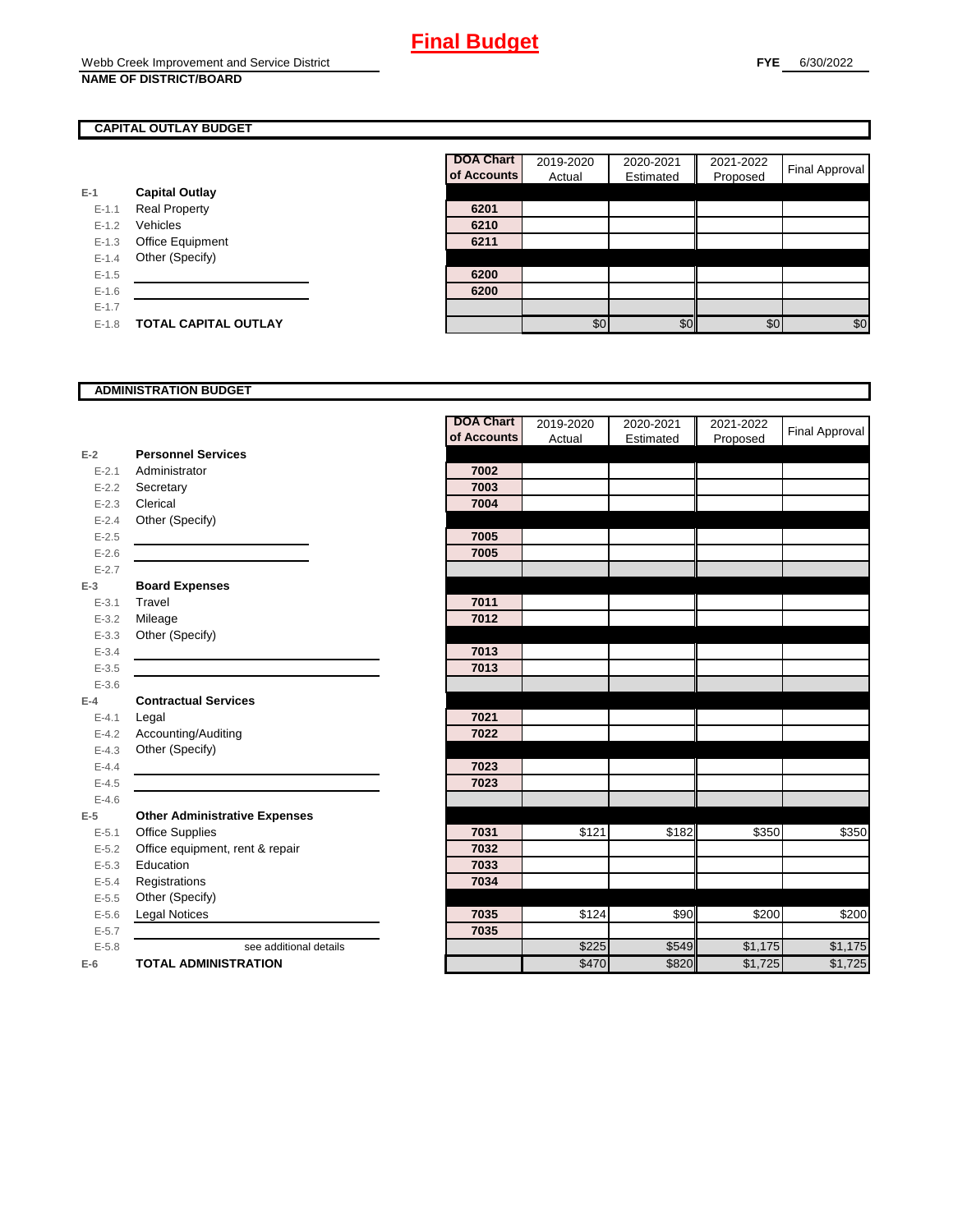### **CAPITAL OUTLAY BUDGET**

|           |                             | of Accou |
|-----------|-----------------------------|----------|
| $E-1$     | <b>Capital Outlay</b>       |          |
| $E - 1.1$ | <b>Real Property</b>        | 6201     |
| $E - 1.2$ | Vehicles                    | 6210     |
| $E-1.3$   | <b>Office Equipment</b>     | 6211     |
| $E - 1.4$ | Other (Specify)             |          |
| $E - 1.5$ |                             | 6200     |
| $E - 1.6$ |                             | 6200     |
| $E - 1.7$ |                             |          |
| $E-1.8$   | <b>TOTAL CAPITAL OUTLAY</b> |          |

| <b>DOA Chart</b> | 2019-2020 | 2020-2021 | 2021-2022 | Final Approval |
|------------------|-----------|-----------|-----------|----------------|
| of Accounts      | Actual    | Estimated | Proposed  |                |
|                  |           |           |           |                |
| 6201             |           |           |           |                |
| 6210             |           |           |           |                |
| 6211             |           |           |           |                |
|                  |           |           |           |                |
| 6200             |           |           |           |                |
| 6200             |           |           |           |                |
|                  |           |           |           |                |
|                  | \$٢       | ያህ        | \$በ       | \$0            |

#### **ADMINISTRATION BUDGET**

| of Accounts<br>Actual<br>Estimated<br>Proposed<br><b>Personnel Services</b><br>$E-2$<br>7002<br>$E - 2.1$<br>Administrator<br>7003<br>$E - 2.2$<br>Secretary<br>7004<br>Clerical<br>$E - 2.3$<br>Other (Specify)<br>$E - 2.4$<br>$E - 2.5$<br>7005<br>$E - 2.6$<br>7005<br>$E - 2.7$<br><b>Board Expenses</b><br>$E-3$<br>7011<br>Travel<br>$E - 3.1$<br>7012<br>Mileage<br>$E - 3.2$<br>Other (Specify)<br>$E - 3.3$<br>$E - 3.4$<br>7013<br>7013<br>$E - 3.5$<br>$E - 3.6$<br><b>Contractual Services</b><br>$E-4$<br>7021<br>$E - 4.1$<br>Legal<br>Accounting/Auditing<br>7022<br>$E - 4.2$<br>Other (Specify)<br>$E - 4.3$<br>7023<br>$E - 4.4$<br>$E-4.5$<br>7023<br>$E-4.6$<br><b>Other Administrative Expenses</b><br>$E-5$<br><b>Office Supplies</b><br>\$121<br>\$182<br>\$350<br>7031<br>\$350<br>$E - 5.1$<br>Office equipment, rent & repair<br>7032<br>$E - 5.2$<br>Education<br>7033<br>$E - 5.3$<br>$E - 5.4$<br>Registrations<br>7034<br>Other (Specify)<br>$E - 5.5$<br>\$90<br>7035<br>\$124<br>\$200<br>\$200<br><b>Legal Notices</b><br>$E-5.6$<br>7035<br>$E - 5.7$<br>\$225<br>\$549<br>\$1,175<br>$E - 5.8$<br>see additional details<br>\$470<br>\$820<br><b>TOTAL ADMINISTRATION</b><br>\$1,725<br>$E-6$ |  | <b>DOA Chart</b> | 2019-2020 | 2020-2021 | 2021-2022 | Final Approval |
|-----------------------------------------------------------------------------------------------------------------------------------------------------------------------------------------------------------------------------------------------------------------------------------------------------------------------------------------------------------------------------------------------------------------------------------------------------------------------------------------------------------------------------------------------------------------------------------------------------------------------------------------------------------------------------------------------------------------------------------------------------------------------------------------------------------------------------------------------------------------------------------------------------------------------------------------------------------------------------------------------------------------------------------------------------------------------------------------------------------------------------------------------------------------------------------------------------------------------------------|--|------------------|-----------|-----------|-----------|----------------|
|                                                                                                                                                                                                                                                                                                                                                                                                                                                                                                                                                                                                                                                                                                                                                                                                                                                                                                                                                                                                                                                                                                                                                                                                                                   |  |                  |           |           |           |                |
|                                                                                                                                                                                                                                                                                                                                                                                                                                                                                                                                                                                                                                                                                                                                                                                                                                                                                                                                                                                                                                                                                                                                                                                                                                   |  |                  |           |           |           |                |
|                                                                                                                                                                                                                                                                                                                                                                                                                                                                                                                                                                                                                                                                                                                                                                                                                                                                                                                                                                                                                                                                                                                                                                                                                                   |  |                  |           |           |           |                |
|                                                                                                                                                                                                                                                                                                                                                                                                                                                                                                                                                                                                                                                                                                                                                                                                                                                                                                                                                                                                                                                                                                                                                                                                                                   |  |                  |           |           |           |                |
|                                                                                                                                                                                                                                                                                                                                                                                                                                                                                                                                                                                                                                                                                                                                                                                                                                                                                                                                                                                                                                                                                                                                                                                                                                   |  |                  |           |           |           |                |
|                                                                                                                                                                                                                                                                                                                                                                                                                                                                                                                                                                                                                                                                                                                                                                                                                                                                                                                                                                                                                                                                                                                                                                                                                                   |  |                  |           |           |           |                |
|                                                                                                                                                                                                                                                                                                                                                                                                                                                                                                                                                                                                                                                                                                                                                                                                                                                                                                                                                                                                                                                                                                                                                                                                                                   |  |                  |           |           |           |                |
|                                                                                                                                                                                                                                                                                                                                                                                                                                                                                                                                                                                                                                                                                                                                                                                                                                                                                                                                                                                                                                                                                                                                                                                                                                   |  |                  |           |           |           |                |
|                                                                                                                                                                                                                                                                                                                                                                                                                                                                                                                                                                                                                                                                                                                                                                                                                                                                                                                                                                                                                                                                                                                                                                                                                                   |  |                  |           |           |           |                |
|                                                                                                                                                                                                                                                                                                                                                                                                                                                                                                                                                                                                                                                                                                                                                                                                                                                                                                                                                                                                                                                                                                                                                                                                                                   |  |                  |           |           |           |                |
|                                                                                                                                                                                                                                                                                                                                                                                                                                                                                                                                                                                                                                                                                                                                                                                                                                                                                                                                                                                                                                                                                                                                                                                                                                   |  |                  |           |           |           |                |
|                                                                                                                                                                                                                                                                                                                                                                                                                                                                                                                                                                                                                                                                                                                                                                                                                                                                                                                                                                                                                                                                                                                                                                                                                                   |  |                  |           |           |           |                |
|                                                                                                                                                                                                                                                                                                                                                                                                                                                                                                                                                                                                                                                                                                                                                                                                                                                                                                                                                                                                                                                                                                                                                                                                                                   |  |                  |           |           |           |                |
|                                                                                                                                                                                                                                                                                                                                                                                                                                                                                                                                                                                                                                                                                                                                                                                                                                                                                                                                                                                                                                                                                                                                                                                                                                   |  |                  |           |           |           |                |
|                                                                                                                                                                                                                                                                                                                                                                                                                                                                                                                                                                                                                                                                                                                                                                                                                                                                                                                                                                                                                                                                                                                                                                                                                                   |  |                  |           |           |           |                |
|                                                                                                                                                                                                                                                                                                                                                                                                                                                                                                                                                                                                                                                                                                                                                                                                                                                                                                                                                                                                                                                                                                                                                                                                                                   |  |                  |           |           |           |                |
|                                                                                                                                                                                                                                                                                                                                                                                                                                                                                                                                                                                                                                                                                                                                                                                                                                                                                                                                                                                                                                                                                                                                                                                                                                   |  |                  |           |           |           |                |
|                                                                                                                                                                                                                                                                                                                                                                                                                                                                                                                                                                                                                                                                                                                                                                                                                                                                                                                                                                                                                                                                                                                                                                                                                                   |  |                  |           |           |           |                |
|                                                                                                                                                                                                                                                                                                                                                                                                                                                                                                                                                                                                                                                                                                                                                                                                                                                                                                                                                                                                                                                                                                                                                                                                                                   |  |                  |           |           |           |                |
|                                                                                                                                                                                                                                                                                                                                                                                                                                                                                                                                                                                                                                                                                                                                                                                                                                                                                                                                                                                                                                                                                                                                                                                                                                   |  |                  |           |           |           |                |
|                                                                                                                                                                                                                                                                                                                                                                                                                                                                                                                                                                                                                                                                                                                                                                                                                                                                                                                                                                                                                                                                                                                                                                                                                                   |  |                  |           |           |           |                |
|                                                                                                                                                                                                                                                                                                                                                                                                                                                                                                                                                                                                                                                                                                                                                                                                                                                                                                                                                                                                                                                                                                                                                                                                                                   |  |                  |           |           |           |                |
|                                                                                                                                                                                                                                                                                                                                                                                                                                                                                                                                                                                                                                                                                                                                                                                                                                                                                                                                                                                                                                                                                                                                                                                                                                   |  |                  |           |           |           |                |
|                                                                                                                                                                                                                                                                                                                                                                                                                                                                                                                                                                                                                                                                                                                                                                                                                                                                                                                                                                                                                                                                                                                                                                                                                                   |  |                  |           |           |           |                |
|                                                                                                                                                                                                                                                                                                                                                                                                                                                                                                                                                                                                                                                                                                                                                                                                                                                                                                                                                                                                                                                                                                                                                                                                                                   |  |                  |           |           |           |                |
|                                                                                                                                                                                                                                                                                                                                                                                                                                                                                                                                                                                                                                                                                                                                                                                                                                                                                                                                                                                                                                                                                                                                                                                                                                   |  |                  |           |           |           |                |
|                                                                                                                                                                                                                                                                                                                                                                                                                                                                                                                                                                                                                                                                                                                                                                                                                                                                                                                                                                                                                                                                                                                                                                                                                                   |  |                  |           |           |           |                |
|                                                                                                                                                                                                                                                                                                                                                                                                                                                                                                                                                                                                                                                                                                                                                                                                                                                                                                                                                                                                                                                                                                                                                                                                                                   |  |                  |           |           |           |                |
|                                                                                                                                                                                                                                                                                                                                                                                                                                                                                                                                                                                                                                                                                                                                                                                                                                                                                                                                                                                                                                                                                                                                                                                                                                   |  |                  |           |           |           |                |
|                                                                                                                                                                                                                                                                                                                                                                                                                                                                                                                                                                                                                                                                                                                                                                                                                                                                                                                                                                                                                                                                                                                                                                                                                                   |  |                  |           |           |           |                |
|                                                                                                                                                                                                                                                                                                                                                                                                                                                                                                                                                                                                                                                                                                                                                                                                                                                                                                                                                                                                                                                                                                                                                                                                                                   |  |                  |           |           |           |                |
|                                                                                                                                                                                                                                                                                                                                                                                                                                                                                                                                                                                                                                                                                                                                                                                                                                                                                                                                                                                                                                                                                                                                                                                                                                   |  |                  |           |           |           | \$1,175        |
|                                                                                                                                                                                                                                                                                                                                                                                                                                                                                                                                                                                                                                                                                                                                                                                                                                                                                                                                                                                                                                                                                                                                                                                                                                   |  |                  |           |           |           | \$1,725        |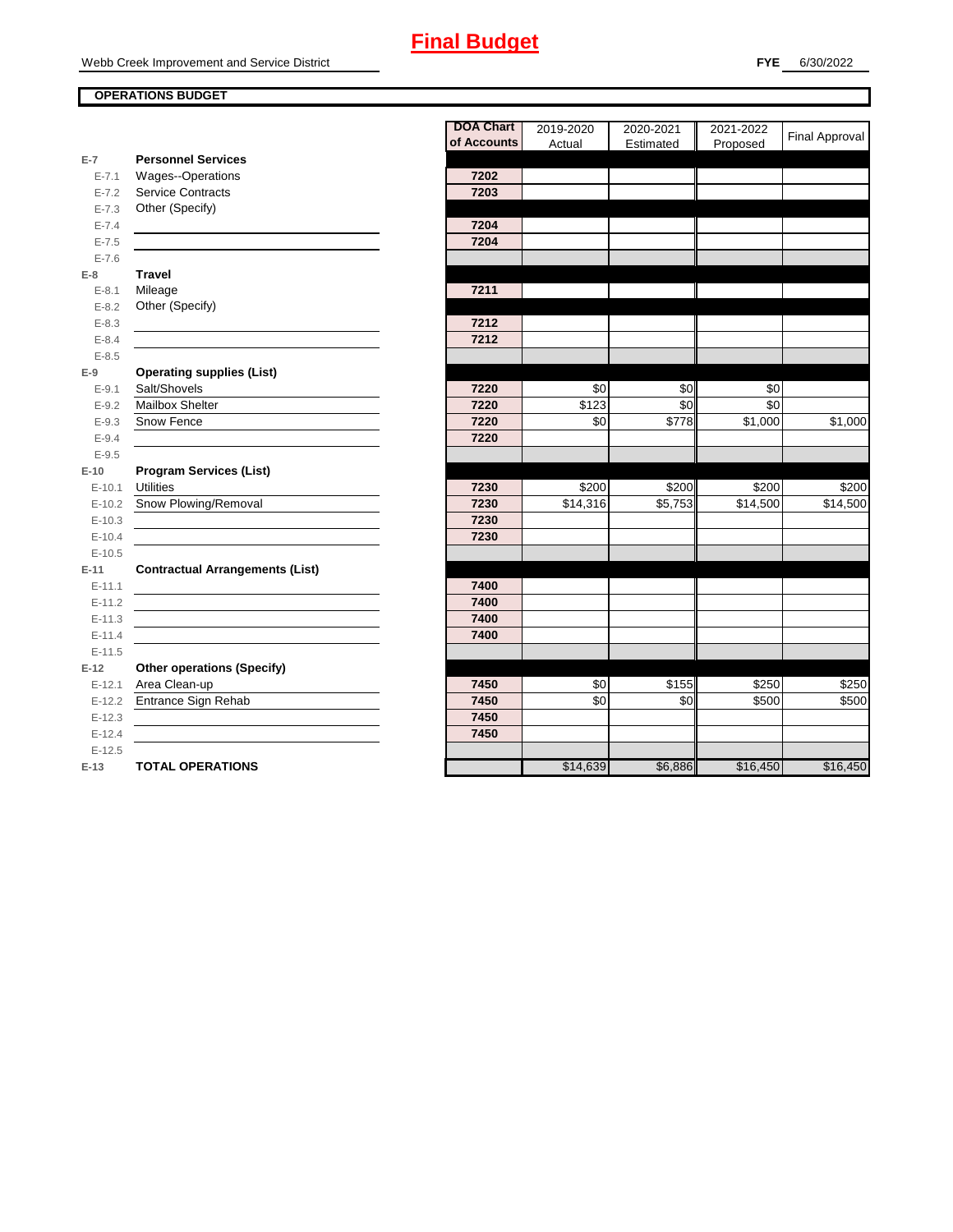#### **OPERATIONS BUDGET**

|                   |                                                    | <b>DOA Chart</b> | 2019-2020            | 2020-2021              | 2021-2022  |                       |
|-------------------|----------------------------------------------------|------------------|----------------------|------------------------|------------|-----------------------|
|                   |                                                    | of Accounts      | Actual               | Estimated              | Proposed   | <b>Final Approval</b> |
| $E-7$             | <b>Personnel Services</b>                          |                  |                      |                        |            |                       |
| $E - 7.1$         | Wages--Operations                                  | 7202             |                      |                        |            |                       |
| $E - 7.2$         | <b>Service Contracts</b>                           | 7203             |                      |                        |            |                       |
| $E - 7.3$         | Other (Specify)                                    |                  |                      |                        |            |                       |
| $E - 7.4$         |                                                    | 7204             |                      |                        |            |                       |
| $E - 7.5$         |                                                    | 7204             |                      |                        |            |                       |
| $E - 7.6$         |                                                    |                  |                      |                        |            |                       |
| $E-8$             | <b>Travel</b>                                      |                  |                      |                        |            |                       |
| $E - 8.1$         | Mileage                                            | 7211             |                      |                        |            |                       |
| $E - 8.2$         | Other (Specify)                                    |                  |                      |                        |            |                       |
| $E-8.3$           |                                                    | 7212             |                      |                        |            |                       |
| $E - 8.4$         |                                                    | 7212             |                      |                        |            |                       |
| $E - 8.5$         |                                                    |                  |                      |                        |            |                       |
| $E-9$             | <b>Operating supplies (List)</b>                   |                  |                      |                        |            |                       |
| $E - 9.1$         | Salt/Shovels<br><b>Mailbox Shelter</b>             | 7220<br>7220     | \$0<br>\$123         | \$0<br>$\overline{30}$ | \$0<br>\$0 |                       |
| $E-9.2$           | Snow Fence                                         | 7220             | \$0                  | $\sqrt{$778}$          | \$1,000    | \$1,000               |
| $E-9.3$           |                                                    |                  |                      |                        |            |                       |
| $E - 9.4$         |                                                    | 7220             |                      |                        |            |                       |
| $E-9.5$<br>$E-10$ |                                                    |                  |                      |                        |            |                       |
| $E-10.1$          | <b>Program Services (List)</b><br><b>Utilities</b> | 7230             | \$200                | \$200                  | \$200      | \$200                 |
| $E-10.2$          | Snow Plowing/Removal                               | 7230             | $\overline{$}14,316$ | \$5,753                | \$14,500   | \$14,500              |
| $E-10.3$          |                                                    | 7230             |                      |                        |            |                       |
| $E-10.4$          |                                                    | 7230             |                      |                        |            |                       |
| $E-10.5$          |                                                    |                  |                      |                        |            |                       |
| $E-11$            | <b>Contractual Arrangements (List)</b>             |                  |                      |                        |            |                       |
| $E-11.1$          |                                                    | 7400             |                      |                        |            |                       |
| $E-11.2$          |                                                    | 7400             |                      |                        |            |                       |
| $E-11.3$          |                                                    | 7400             |                      |                        |            |                       |
| $E-11.4$          |                                                    | 7400             |                      |                        |            |                       |
| $E-11.5$          |                                                    |                  |                      |                        |            |                       |
| $E-12$            | <b>Other operations (Specify)</b>                  |                  |                      |                        |            |                       |
| $E-12.1$          | Area Clean-up                                      | 7450             | \$0                  | \$155                  | \$250      | \$250                 |
| $E-12.2$          | Entrance Sign Rehab                                | 7450             | \$0                  | \$0                    | \$500      | \$500                 |
| $E-12.3$          |                                                    | 7450             |                      |                        |            |                       |
| $E-12.4$          |                                                    | 7450             |                      |                        |            |                       |
| $E-12.5$          |                                                    |                  |                      |                        |            |                       |
| $E-13$            | <b>TOTAL OPERATIONS</b>                            |                  | \$14,639             | \$6,886                | \$16,450   | \$16,450              |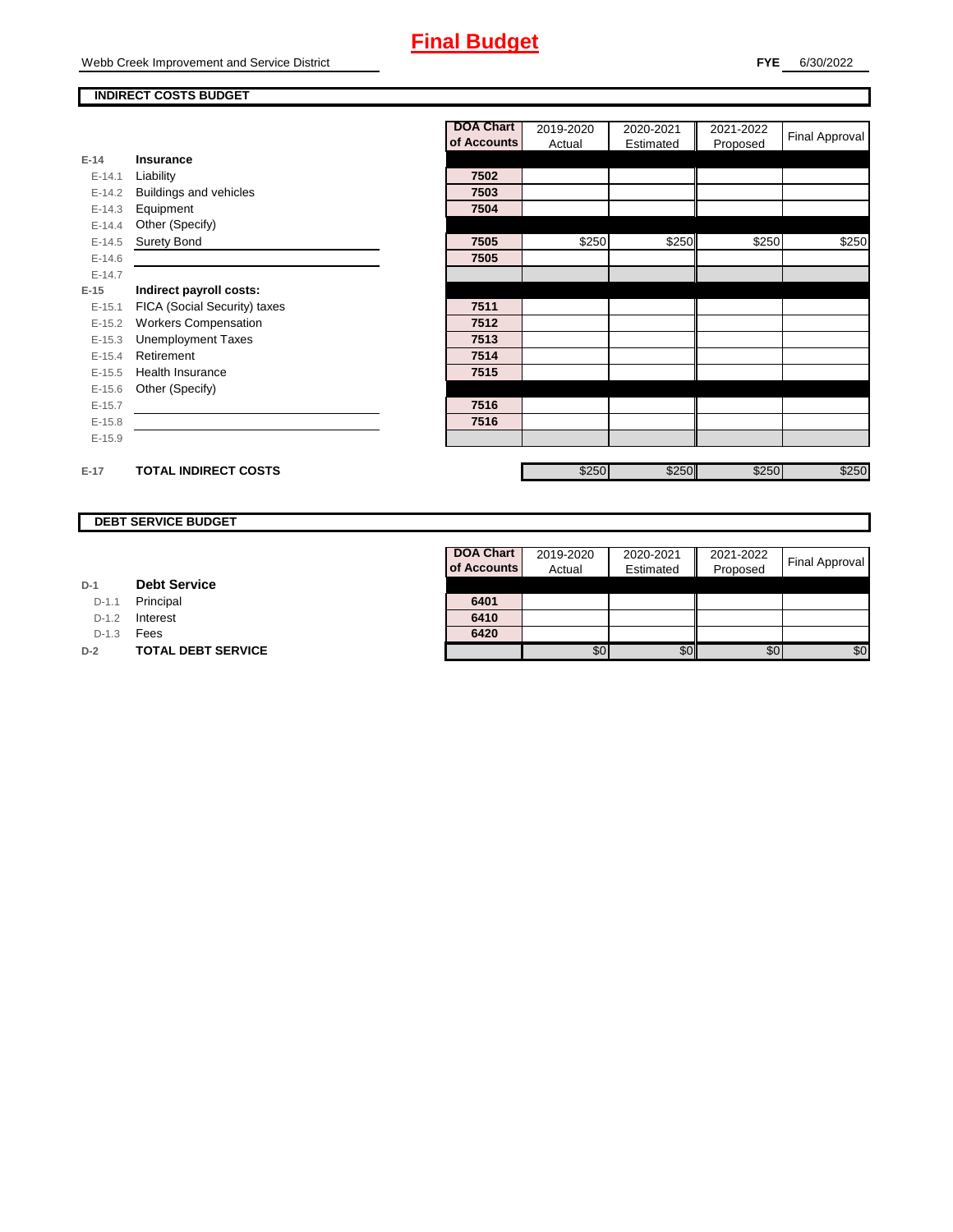#### **INDIRECT COSTS BUDGET**

|          |                              | <b>DOA Chart</b> | 2019-2020 | 2020-2021 | 2021-2022 | <b>Final Approval</b> |
|----------|------------------------------|------------------|-----------|-----------|-----------|-----------------------|
|          |                              | of Accounts      | Actual    | Estimated | Proposed  |                       |
| $E-14$   | Insurance                    |                  |           |           |           |                       |
| $E-14.1$ | Liability                    | 7502             |           |           |           |                       |
| $E-14.2$ | Buildings and vehicles       | 7503             |           |           |           |                       |
| $E-14.3$ | Equipment                    | 7504             |           |           |           |                       |
| $E-14.4$ | Other (Specify)              |                  |           |           |           |                       |
| $E-14.5$ | <b>Surety Bond</b>           | 7505             | \$250     | \$250     | \$250     | \$250                 |
| $E-14.6$ |                              | 7505             |           |           |           |                       |
| $E-14.7$ |                              |                  |           |           |           |                       |
| $E-15$   | Indirect payroll costs:      |                  |           |           |           |                       |
| $E-15.1$ | FICA (Social Security) taxes | 7511             |           |           |           |                       |
| $E-15.2$ | <b>Workers Compensation</b>  | 7512             |           |           |           |                       |
| $E-15.3$ | <b>Unemployment Taxes</b>    | 7513             |           |           |           |                       |
| $E-15.4$ | Retirement                   | 7514             |           |           |           |                       |
| $E-15.5$ | <b>Health Insurance</b>      | 7515             |           |           |           |                       |
| $E-15.6$ | Other (Specify)              |                  |           |           |           |                       |
| $E-15.7$ |                              | 7516             |           |           |           |                       |
| $E-15.8$ |                              | 7516             |           |           |           |                       |
| $E-15.9$ |                              |                  |           |           |           |                       |
|          |                              |                  |           |           |           |                       |
| $E-17$   | <b>TOTAL INDIRECT COSTS</b>  |                  | \$250     | \$250     | \$250     | \$250                 |

### **DEBT SERVICE BUDGET**

| D-1 | <b>Debt Service</b> |  |
|-----|---------------------|--|
|     |                     |  |

D-1.1 **Principal** 

D-1.2 **Interest** 

D-1.3 **Fees** 

Г

**D-2 TOTAL DEBT SERVICE** 

| DOA Chart   | 2019-2020 | 2020-2021 | 2021-2022 |                       |
|-------------|-----------|-----------|-----------|-----------------------|
| of Accounts | Actual    | Estimated | Proposed  | <b>Final Approval</b> |
|             |           |           |           |                       |
| 6401        |           |           |           |                       |
| 6410        |           |           |           |                       |
| 6420        |           |           |           |                       |
|             |           |           | \$О       |                       |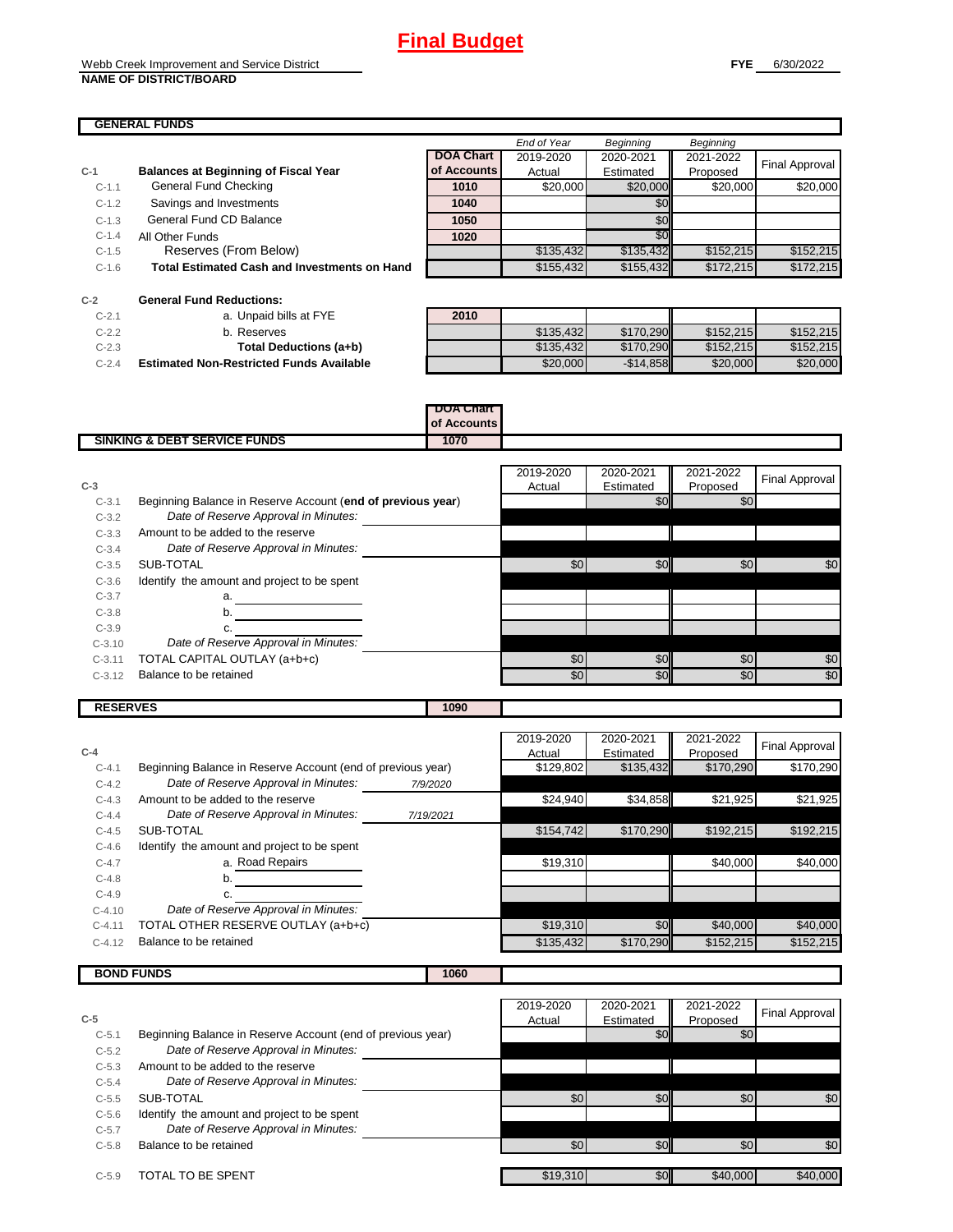| <b>GENERAL FUNDS</b> |                                                     |                  |             |                  |                  |                |
|----------------------|-----------------------------------------------------|------------------|-------------|------------------|------------------|----------------|
|                      |                                                     |                  | End of Year | <b>Beginning</b> | <b>Beginning</b> |                |
|                      |                                                     | <b>DOA Chart</b> | 2019-2020   | 2020-2021        | 2021-2022        | Final Approval |
| $C-1$                | <b>Balances at Beginning of Fiscal Year</b>         | of Accounts      | Actual      | Estimated        | Proposed         |                |
| $C-1.1$              | General Fund Checking                               | 1010             | \$20,000    | \$20,000         | \$20,000         | \$20,000       |
| $C-1.2$              | Savings and Investments                             | 1040             |             | \$0              |                  |                |
| $C-1.3$              | General Fund CD Balance                             | 1050             |             | SO <sub>1</sub>  |                  |                |
| $C-1.4$              | All Other Funds                                     | 1020             |             | \$0              |                  |                |
| $C-1.5$              | Reserves (From Below)                               |                  | \$135,432   | \$135,432        | \$152,215        | \$152,215      |
| $C-1.6$              | <b>Total Estimated Cash and Investments on Hand</b> |                  | \$155,432   | \$155,432        | \$172,215        | \$172,215      |

| $C-2$    | <b>General Fund Reductions:</b>                 |      |
|----------|-------------------------------------------------|------|
| $C - 21$ | a. Unpaid bills at FYE                          | 2010 |
| $C-22$   | b. Reserves                                     |      |
| $C-2.3$  | Total Deductions (a+b)                          |      |
| $C - 24$ | <b>Estimated Non-Restricted Funds Available</b> |      |

**RESERVES 1090**

| $C-2.1$ | a. Unpaid bills at FYE                          | 2010 |           |            |           |           |
|---------|-------------------------------------------------|------|-----------|------------|-----------|-----------|
| $C-2.2$ | b. Reserves                                     |      | \$135.432 | \$170.290  | \$152.215 | \$152.215 |
| $C-2.3$ | Total Deductions (a+b)                          |      | \$135,432 | \$170,290  | \$152,215 | \$152,215 |
| $C-2.4$ | <b>Estimated Non-Restricted Funds Available</b> |      | \$20,000  | $-$14,858$ | \$20,000  | \$20,000  |

#### **DOA Chart of Accounts SINKING & DEBT SERVICE FUNDS** 1070

| $C-3$    |                                                             | 2019-2020<br>Actual | 2020-2021<br>Estimated | 2021-2022<br>Proposed | <b>Final Approval</b> |
|----------|-------------------------------------------------------------|---------------------|------------------------|-----------------------|-----------------------|
| $C-3.1$  | Beginning Balance in Reserve Account (end of previous year) |                     | \$0                    | \$0                   |                       |
| $C-3.2$  | Date of Reserve Approval in Minutes:                        |                     |                        |                       |                       |
| $C-3.3$  | Amount to be added to the reserve                           |                     |                        |                       |                       |
| $C-3.4$  | Date of Reserve Approval in Minutes:                        |                     |                        |                       |                       |
| $C-3.5$  | SUB-TOTAL                                                   | \$0                 | \$0                    | \$0                   | \$0                   |
| $C-3.6$  | Identify the amount and project to be spent                 |                     |                        |                       |                       |
| $C-3.7$  | a.                                                          |                     |                        |                       |                       |
| $C-3.8$  | b.                                                          |                     |                        |                       |                       |
| $C-3.9$  |                                                             |                     |                        |                       |                       |
| $C-3.10$ | Date of Reserve Approval in Minutes:                        |                     |                        |                       |                       |
| $C-3.11$ | TOTAL CAPITAL OUTLAY (a+b+c)                                | \$0                 | \$0                    | \$0                   | \$0                   |
| $C-3.12$ | Balance to be retained                                      | \$0                 | \$0                    | \$0                   | \$0                   |

| $C-4$     |                                                             |           | 2019-2020<br>Actual | 2020-2021<br>Estimated | 2021-2022<br>Proposed | <b>Final Approval</b> |
|-----------|-------------------------------------------------------------|-----------|---------------------|------------------------|-----------------------|-----------------------|
| $C-4.1$   | Beginning Balance in Reserve Account (end of previous year) |           | \$129,802           | \$135,432              | \$170.290             | \$170.290             |
| $C-4.2$   | Date of Reserve Approval in Minutes:                        | 7/9/2020  |                     |                        |                       |                       |
| $C-4.3$   | Amount to be added to the reserve                           |           | \$24,940            | \$34,858               | \$21,925              | \$21,925              |
| $C - 4.4$ | Date of Reserve Approval in Minutes:                        | 7/19/2021 |                     |                        |                       |                       |
| $C-4.5$   | SUB-TOTAL                                                   |           | \$154,742           | \$170,290              | \$192,215             | \$192.215             |
| $C-4.6$   | Identify the amount and project to be spent                 |           |                     |                        |                       |                       |
| $C-4.7$   | a. Road Repairs                                             |           | \$19,310            |                        | \$40,000              | \$40,000              |
| $C-4.8$   | b.                                                          |           |                     |                        |                       |                       |
| $C-4.9$   | C.                                                          |           |                     |                        |                       |                       |
| $C-4.10$  | Date of Reserve Approval in Minutes:                        |           |                     |                        |                       |                       |
| $C-4.11$  | TOTAL OTHER RESERVE OUTLAY (a+b+c)                          |           | \$19,310            | \$0                    | \$40,000              | \$40,000              |
| $C-4.12$  | Balance to be retained                                      |           | \$135,432           | \$170,290              | \$152,215             | \$152.215             |
|           |                                                             |           |                     |                        |                       |                       |

**BOND FUNDS** 1060

|                                                                        | 2019-2020 | 2020-2021 | 2021-2022 | <b>Final Approval</b> |
|------------------------------------------------------------------------|-----------|-----------|-----------|-----------------------|
| $C-5$                                                                  | Actual    | Estimated | Proposed  |                       |
| Beginning Balance in Reserve Account (end of previous year)<br>$C-5.1$ |           | \$0       | \$0       |                       |
| Date of Reserve Approval in Minutes:<br>$C-5.2$                        |           |           |           |                       |
| Amount to be added to the reserve<br>$C-5.3$                           |           |           |           |                       |
| Date of Reserve Approval in Minutes:<br>$C-5.4$                        |           |           |           |                       |
| SUB-TOTAL<br>$C-5.5$                                                   | \$0       | \$0       | \$0       | \$0                   |
| Identify the amount and project to be spent<br>$C-5.6$                 |           |           |           |                       |
| Date of Reserve Approval in Minutes:<br>$C-5.7$                        |           |           |           |                       |
| Balance to be retained<br>$C-5.8$                                      | \$0       | \$0       | \$0       | \$0                   |
|                                                                        |           |           |           |                       |
| TOTAL TO BE SPENT<br>$C-5.9$                                           | \$19,310  | \$0       | \$40,000  | \$40,000              |